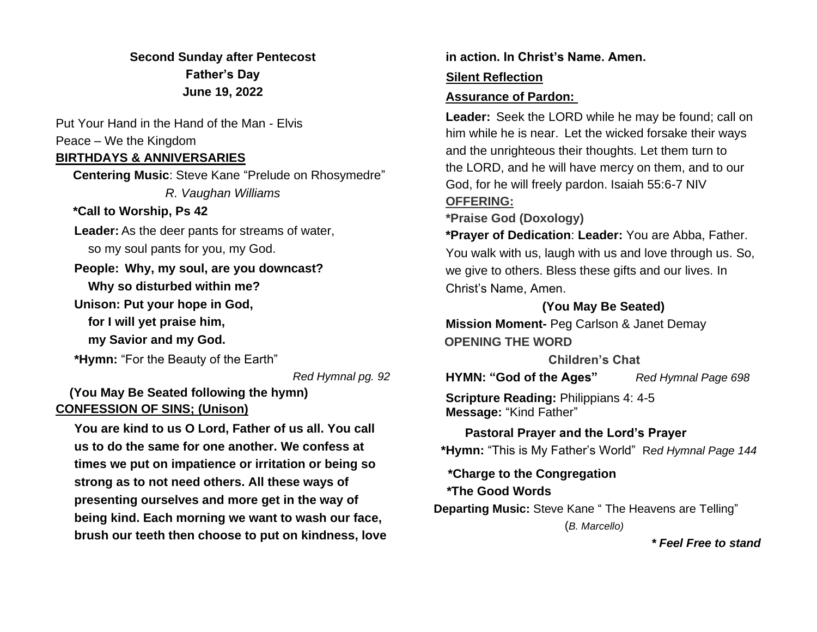**Second Sunday after Pentecost Father's Day June 19, 2022**

Put Your Hand in the Hand of the Man - Elvis Peace – We the Kingdom

### **BIRTHDAYS & ANNIVERSARIES**

 **Centering Music**: Steve Kane "Prelude on Rhosymedre" *R. Vaughan Williams*  **\*Call to Worship, Ps 42** 

**Leader:** As the deer pants for streams of water, so my soul pants for you, my God.

# **People: Why, my soul, are you downcast? Why so disturbed within me?**

**Unison: Put your hope in God,**

 **for I will yet praise him,**

 **my Savior and my God.**

**\*Hymn:** "For the Beauty of the Earth"

*Red Hymnal pg. 92*

# **(You May Be Seated following the hymn) CONFESSION OF SINS; (Unison)**

**You are kind to us O Lord, Father of us all. You call us to do the same for one another. We confess at times we put on impatience or irritation or being so strong as to not need others. All these ways of presenting ourselves and more get in the way of being kind. Each morning we want to wash our face, brush our teeth then choose to put on kindness, love**  **in action. In Christ's Name. Amen.**

### **Silent Reflection**

#### **Assurance of Pardon:**

**Leader:** Seek the LORD while he may be found; call on him while he is near. Let the wicked forsake their ways and the unrighteous their thoughts. Let them turn to the LORD, and he will have mercy on them, and to our God, for he will freely pardon. Isaiah 55:6-7 NIV

# **OFFERING:**

**\*Praise God (Doxology)**

**\*Prayer of Dedication**: **Leader:** You are Abba, Father. You walk with us, laugh with us and love through us. So, we give to others. Bless these gifts and our lives. In Christ's Name, Amen.

### **(You May Be Seated)**

**Mission Moment-** Peg Carlson & Janet Demay  **OPENING THE WORD**

**Children's Chat**

**HYMN: "God of the Ages"** *Red Hymnal Page 698* 

**Scripture Reading:** Philippians 4: 4-5 **Message:** "Kind Father"

 **Pastoral Prayer and the Lord's Prayer \*Hymn:** "This is My Father's World" R*ed Hymnal Page 144*

 **\*Charge to the Congregation**

### **\*The Good Words**

 **Departing Music:** Steve Kane " The Heavens are Telling"

(*B. Marcello)*

 *\* Feel Free to stand*